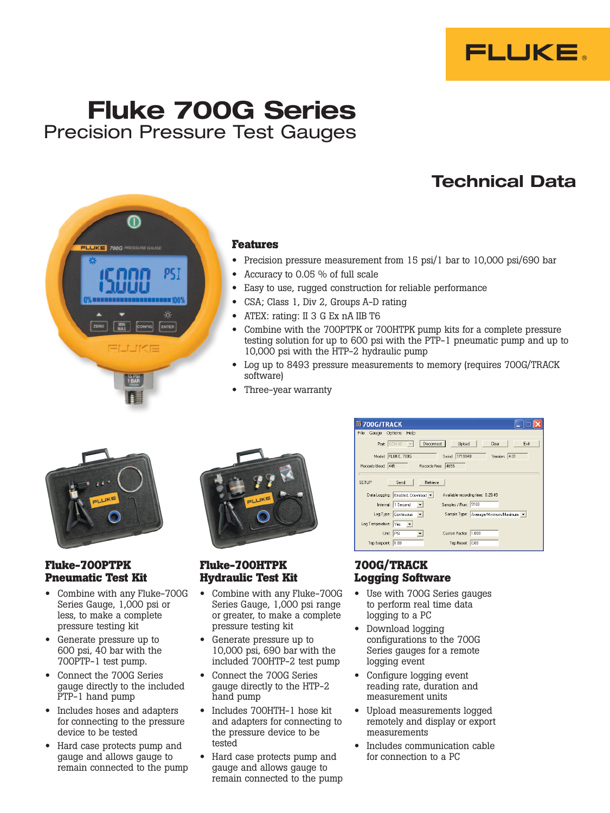

# Fluke 700G Series Precision Pressure Test Gauges

pς

 $100$ 

# Technical Data



- Precision pressure measurement from 15 psi/1 bar to 10,000 psi/690 bar
- Accuracy to 0.05 % of full scale
- Easy to use, rugged construction for reliable performance
- CSA; Class 1, Div 2, Groups A-D rating
- ATEX: rating: II 3 G Ex nA IIB T6
- • Combine with the 700PTPK or 700HTPK pump kits for a complete pressure testing solution for up to 600 psi with the PTP-1 pneumatic pump and up to 10,000 psi with the HTP-2 hydraulic pump
- Log up to 8493 pressure measurements to memory (requires 700G/TRACK software)
- Three-year warranty



## **Fluke-700PTPK Pneumatic Test Kit**

- Combine with any Fluke-700G Series Gauge, 1,000 psi or less, to make a complete pressure testing kit
- Generate pressure up to 600 psi, 40 bar with the 700PTP-1 test pump.
- Connect the 700G Series gauge directly to the included PTP-1 hand pump
- • Includes hoses and adapters for connecting to the pressure device to be tested
- Hard case protects pump and gauge and allows gauge to remain connected to the pump



## **Fluke-700HTPK Hydraulic Test Kit**

- • Combine with any Fluke-700G Series Gauge, 1,000 psi range or greater, to make a complete pressure testing kit
- • Generate pressure up to 10,000 psi, 690 bar with the included 700HTP-2 test pump
- • Connect the 700G Series gauge directly to the HTP-2 hand pump
- • Includes 700HTH-1 hose kit and adapters for connecting to the pressure device to be tested
- Hard case protects pump and gauge and allows gauge to remain connected to the pump

| 第700G/TRACK            |                                                                        |
|------------------------|------------------------------------------------------------------------|
| File<br>Gauge Options  | Help                                                                   |
| Port COM10             | Disconnect<br>Upload<br>Clear<br>Exit<br>$\overline{\phantom{a}}$      |
|                        | Model FLUKE, 700G<br>Serial: 1719048<br>Version: 4.01                  |
| Records Used: 445      | Records Free: 4655                                                     |
|                        |                                                                        |
| SETUP                  | Retrieve<br>Send                                                       |
|                        | Data Logging: Enabled, Download v<br>Available recording time: 0:25:49 |
|                        | Samples / Run: 5100<br>Interval: 1 Second<br>$\vert \cdot \vert$       |
|                        | Log Type: Continuous v<br>Sample Type: Average/Minimum/Maximum v       |
| Log Temperature: Yes - |                                                                        |
| Unit: PSI              | Custom Factor: 1.000<br>$\vert \cdot \vert$                            |
| Trip Setpoint: 1.00    | Trip Reset: 0.00                                                       |
|                        |                                                                        |

## **700G/TRACK Logging Software**

- Use with 700G Series gauges to perform real time data logging to a PC
- • Download logging configurations to the 700G Series gauges for a remote logging event
- • Configure logging event reading rate, duration and measurement units
- Upload measurements logged remotely and display or export measurements
- Includes communication cable for connection to a PC